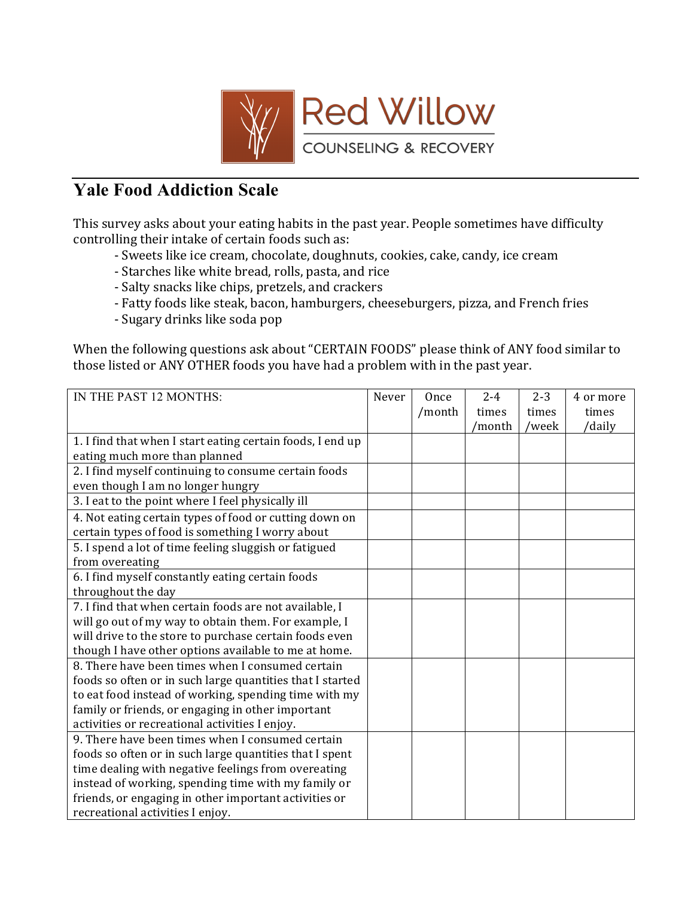

## **Yale Food Addiction Scale**

This survey asks about your eating habits in the past year. People sometimes have difficulty controlling their intake of certain foods such as:

- Sweets like ice cream, chocolate, doughnuts, cookies, cake, candy, ice cream
- Starches like white bread, rolls, pasta, and rice
- Salty snacks like chips, pretzels, and crackers
- Fatty foods like steak, bacon, hamburgers, cheeseburgers, pizza, and French fries
- Sugary drinks like soda pop

When the following questions ask about "CERTAIN FOODS" please think of ANY food similar to those listed or ANY OTHER foods you have had a problem with in the past year.

| IN THE PAST 12 MONTHS:                                     | Never | Once   | $2 - 4$ | $2 - 3$ | 4 or more |
|------------------------------------------------------------|-------|--------|---------|---------|-----------|
|                                                            |       | /month | times   | times   | times     |
|                                                            |       |        | /month  | /week   | /daily    |
| 1. I find that when I start eating certain foods, I end up |       |        |         |         |           |
| eating much more than planned                              |       |        |         |         |           |
| 2. I find myself continuing to consume certain foods       |       |        |         |         |           |
| even though I am no longer hungry                          |       |        |         |         |           |
| 3. I eat to the point where I feel physically ill          |       |        |         |         |           |
| 4. Not eating certain types of food or cutting down on     |       |        |         |         |           |
| certain types of food is something I worry about           |       |        |         |         |           |
| 5. I spend a lot of time feeling sluggish or fatigued      |       |        |         |         |           |
| from overeating                                            |       |        |         |         |           |
| 6. I find myself constantly eating certain foods           |       |        |         |         |           |
| throughout the day                                         |       |        |         |         |           |
| 7. I find that when certain foods are not available, I     |       |        |         |         |           |
| will go out of my way to obtain them. For example, I       |       |        |         |         |           |
| will drive to the store to purchase certain foods even     |       |        |         |         |           |
| though I have other options available to me at home.       |       |        |         |         |           |
| 8. There have been times when I consumed certain           |       |        |         |         |           |
| foods so often or in such large quantities that I started  |       |        |         |         |           |
| to eat food instead of working, spending time with my      |       |        |         |         |           |
| family or friends, or engaging in other important          |       |        |         |         |           |
| activities or recreational activities I enjoy.             |       |        |         |         |           |
| 9. There have been times when I consumed certain           |       |        |         |         |           |
| foods so often or in such large quantities that I spent    |       |        |         |         |           |
| time dealing with negative feelings from overeating        |       |        |         |         |           |
| instead of working, spending time with my family or        |       |        |         |         |           |
| friends, or engaging in other important activities or      |       |        |         |         |           |
| recreational activities I enjoy.                           |       |        |         |         |           |